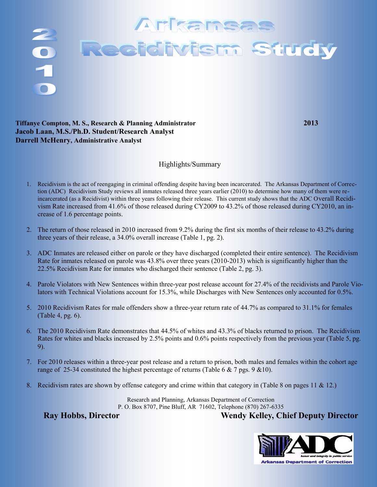

### **Tiffanye Compton, M. S., Research & Planning Administrator 2013 Jacob Laan, M.S./Ph.D. Student/Research Analyst Darrell McHenry, Administrative Analyst**

### Highlights/Summary

- 1. Recidivism is the act of reengaging in criminal offending despite having been incarcerated. The Arkansas Department of Correction (ADC) Recidivism Study reviews all inmates released three years earlier (2010) to determine how many of them were reincarcerated (as a Recidivist) within three years following their release. This current study shows that the ADC Overall Recidivism Rate increased from 41.6% of those released during CY2009 to 43.2% of those released during CY2010, an increase of 1.6 percentage points.
- 2. The return of those released in 2010 increased from 9.2% during the first six months of their release to 43.2% during three years of their release, a 34.0% overall increase (Table 1, pg. 2).
- 3. ADC Inmates are released either on parole or they have discharged (completed their entire sentence). The Recidivism Rate for inmates released on parole was 43.8% over three years (2010-2013) which is significantly higher than the 22.5% Recidivism Rate for inmates who discharged their sentence (Table 2, pg. 3).
- 4. Parole Violators with New Sentences within three-year post release account for 27.4% of the recidivists and Parole Violators with Technical Violations account for 15.3%, while Discharges with New Sentences only accounted for 0.5%.
- 5. 2010 Recidivism Rates for male offenders show a three-year return rate of 44.7% as compared to 31.1% for females (Table 4, pg. 6).
- 6. The 2010 Recidivism Rate demonstrates that 44.5% of whites and 43.3% of blacks returned to prison. The Recidivism Rates for whites and blacks increased by 2.5% points and 0.6% points respectively from the previous year (Table 5, pg. 9).
- 7. For 2010 releases within a three-year post release and a return to prison, both males and females within the cohort age range of 25-34 constituted the highest percentage of returns (Table 6 & 7 pgs. 9 &10).
- 8. Recidivism rates are shown by offense category and crime within that category in (Table 8 on pages 11 & 12.)

Research and Planning, Arkansas Department of Correction P. O. Box 8707, Pine Bluff, AR 71602, Telephone (870) 267-6335

**Ray Hobbs, Director Wendy Kelley, Chief Deputy Director**

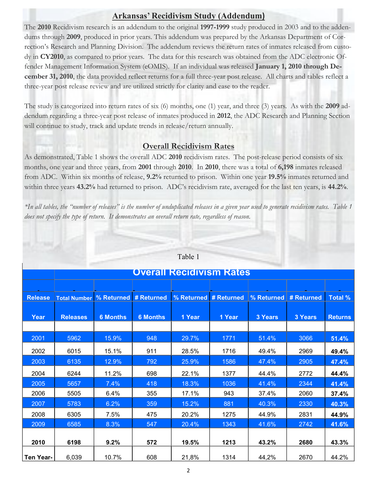# **Arkansas' Recidivism Study (Addendum)**

The **2010** Recidivism research is an addendum to the original **1997-1999** study produced in 2003 and to the addendums through **2009**, produced in prior years. This addendum was prepared by the Arkansas Department of Correction's Research and Planning Division. The addendum reviews the return rates of inmates released from custody in **CY2010**, as compared to prior years. The data for this research was obtained from the ADC electronic Offender Management Information System (eOMIS). If an individual was released **January 1, 2010 through December 31, 2010**, the data provided reflect returns for a full three-year post release. All charts and tables reflect a three-year post release review and are utilized strictly for clarity and ease to the reader.

The study is categorized into return rates of six (6) months, one (1) year, and three (3) years. As with the **2009** addendum regarding a three-year post release of inmates produced in **2012**, the ADC Research and Planning Section will continue to study, track and update trends in release/return annually.

## **Overall Recidivism Rates**

As demonstrated, Table 1 shows the overall ADC **2010** recidivism rates. The post-release period consists of six months, one year and three years, from **2001** through **2010**. In **2010**, there was a total of **6,198** inmates released from ADC. Within six months of release, **9.2%** returned to prison. Within one year **19.5%** inmates returned and within three years **43.2%** had returned to prison. ADC's recidivism rate, averaged for the last ten years, is **44.2%**.

*\*In all tables, the "number of releases" is the number of unduplicated releases in a given year used to generate recidivism rates. Table 1 does not specify the type of return. It demonstrates an overall return rate, regardless of reason.*

|                  | <b>Overall Recidivism Rates</b>    |                 |                 |        |        |                                                 |         |                |  |  |  |
|------------------|------------------------------------|-----------------|-----------------|--------|--------|-------------------------------------------------|---------|----------------|--|--|--|
|                  |                                    |                 |                 |        |        |                                                 |         |                |  |  |  |
| <b>Release</b>   | Total Number % Returned # Returned |                 |                 |        |        | % Returned # Returned   % Returned   # Returned |         | <b>Total %</b> |  |  |  |
|                  |                                    |                 |                 |        |        |                                                 |         |                |  |  |  |
| Year             | <b>Releases</b>                    | <b>6 Months</b> | <b>6 Months</b> | 1 Year | 1 Year | 3 Years                                         | 3 Years | <b>Returns</b> |  |  |  |
|                  |                                    |                 |                 |        |        |                                                 |         |                |  |  |  |
| 2001             | 5962                               | 15.9%           | 948             | 29.7%  | 1771   | 51.4%                                           | 3066    | 51.4%          |  |  |  |
| 2002             | 6015                               | 15.1%           | 911             | 28.5%  | 1716   | 49.4%                                           | 2969    | 49.4%          |  |  |  |
| 2003             | 6135                               | 12.9%           | 792             | 25.9%  | 1586   | 47.4%                                           | 2905    | 47.4%          |  |  |  |
| 2004             | 6244                               | 11.2%           | 698             | 22.1%  | 1377   | 44.4%                                           | 2772    | 44.4%          |  |  |  |
| 2005             | 5657                               | 7.4%            | 418             | 18.3%  | 1036   | 41.4%                                           | 2344    | 41.4%          |  |  |  |
| 2006             | 5505                               | 6.4%            | 355             | 17.1%  | 943    | 37.4%                                           | 2060    | 37.4%          |  |  |  |
| 2007             | 5783                               | 6.2%            | 359             | 15.2%  | 881    | 40.3%                                           | 2330    | 40.3%          |  |  |  |
| 2008             | 6305                               | 7.5%            | 475             | 20.2%  | 1275   | 44.9%                                           | 2831    | 44.9%          |  |  |  |
| 2009             | 6585                               | 8.3%            | 547             | 20.4%  | 1343   | 41.6%                                           | 2742    | 41.6%          |  |  |  |
|                  |                                    |                 |                 |        |        |                                                 |         |                |  |  |  |
| 2010             | 6198                               | 9.2%            | 572             | 19.5%  | 1213   | 43.2%                                           | 2680    | 43.3%          |  |  |  |
| <b>Ten Year-</b> | 6,039                              | 10.7%           | 608             | 21,8%  | 1314   | 44,2%                                           | 2670    | 44.2%          |  |  |  |

#### Table 1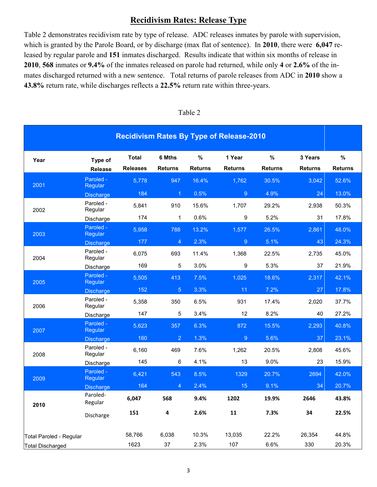## **Recidivism Rates: Release Type**

Table 2 demonstrates recidivism rate by type of release. ADC releases inmates by parole with supervision, which is granted by the Parole Board, or by discharge (max flat of sentence). In **2010**, there were **6,047** released by regular parole and **151** inmates discharged. Results indicate that within six months of release in **2010**, **568** inmates or **9.4%** of the inmates released on parole had returned, while only **4** or **2.6%** of the inmates discharged returned with a new sentence. Total returns of parole releases from ADC in **2010** show a **43.8%** return rate, while discharges reflects a **22.5%** return rate within three-years.

|                         |                           |                                 |                          |                        | <b>Recidivism Rates By Type of Release-2010</b> |                     |                           |                        |
|-------------------------|---------------------------|---------------------------------|--------------------------|------------------------|-------------------------------------------------|---------------------|---------------------------|------------------------|
| Year                    | Type of<br><b>Release</b> | <b>Total</b><br><b>Releases</b> | 6 Mths<br><b>Returns</b> | $\%$<br><b>Returns</b> | 1 Year<br><b>Returns</b>                        | %<br><b>Returns</b> | 3 Years<br><b>Returns</b> | $\%$<br><b>Returns</b> |
| 2001                    | Paroled -<br>Regular      | 5,778                           | 947                      | 16.4%                  | 1,762                                           | 30.5%               | 3,042                     | 52.6%                  |
|                         | <b>Discharge</b>          | 184                             | $\overline{1}$           | 0.5%                   | $\overline{9}$                                  | 4.9%                | 24                        | 13.0%                  |
| 2002                    | Paroled -<br>Regular      | 5,841                           | 910                      | 15.6%                  | 1,707                                           | 29.2%               | 2,938                     | 50.3%                  |
|                         | Discharge                 | 174                             | 1                        | 0.6%                   | 9                                               | 5.2%                | 31                        | 17.8%                  |
| 2003                    | Paroled -<br>Regular      | 5,958                           | 788                      | 13.2%                  | 1,577                                           | 26.5%               | 2,861                     | 48.0%                  |
|                         | <b>Discharge</b>          | 177                             | 4                        | 2.3%                   | 9                                               | 5.1%                | 43                        | 24.3%                  |
| 2004                    | Paroled -<br>Regular      | 6,075                           | 693                      | 11.4%                  | 1,368                                           | 22.5%               | 2,735                     | 45.0%                  |
|                         | Discharge                 | 169                             | 5                        | 3.0%                   | 9                                               | 5.3%                | 37                        | 21.9%                  |
| 2005                    | Paroled -<br>Regular      | 5,505                           | 413                      | 7.5%                   | 1,025                                           | 18.6%               | 2,317                     | 42.1%                  |
|                         | <b>Discharge</b>          | 152                             | $\overline{5}$           | 3.3%                   | 11                                              | 7.2%                | 27                        | 17.8%                  |
| 2006                    | Paroled -<br>Regular      | 5,358                           | 350                      | 6.5%                   | 931                                             | 17.4%               | 2,020                     | 37.7%                  |
|                         | Discharge                 | 147                             | 5                        | 3.4%                   | 12                                              | 8.2%                | 40                        | 27.2%                  |
| 2007                    | Paroled -<br>Regular      | 5,623                           | 357                      | 6.3%                   | 872                                             | 15.5%               | 2,293                     | 40.8%                  |
|                         | <b>Discharge</b>          | 160                             | $\overline{2}$           | 1.3%                   | 9                                               | 5.6%                | 37                        | 23.1%                  |
| 2008                    | Paroled -<br>Regular      | 6,160                           | 469                      | 7.6%                   | 1,262                                           | 20.5%               | 2,808                     | 45.6%                  |
|                         | Discharge                 | 145                             | 6                        | 4.1%                   | 13                                              | 9.0%                | 23                        | 15.9%                  |
| 2009                    | Paroled -<br>Regular      | 6,421                           | 543                      | 8.5%                   | 1329                                            | 20.7%               | 2694                      | 42.0%                  |
|                         | <b>Discharge</b>          | 164                             | 4                        | 2.4%                   | 15                                              | 9.1%                | 34                        | 20.7%                  |
| 2010                    | Paroled-<br>Regular       | 6,047                           | 568                      | 9.4%                   | 1202                                            | 19.9%               | 2646                      | 43.8%                  |
|                         | Discharge                 | 151                             | 4                        | 2.6%                   | ${\bf 11}$                                      | 7.3%                | 34                        | 22.5%                  |
|                         |                           |                                 |                          |                        |                                                 |                     |                           |                        |
| Total Paroled - Regular |                           | 58,766                          | 6,038                    | 10.3%                  | 13,035                                          | 22.2%               | 26,354                    | 44.8%                  |
| Total Discharged        |                           | 1623                            | 37                       | 2.3%                   | 107                                             | 6.6%                | 330                       | 20.3%                  |

#### Table 2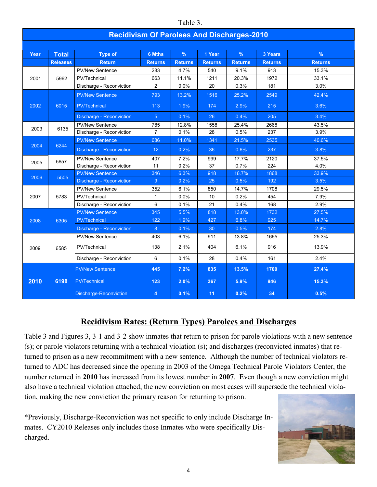|      | Table 3.                                          |                                 |                |                |                |                |                |                |  |  |  |  |
|------|---------------------------------------------------|---------------------------------|----------------|----------------|----------------|----------------|----------------|----------------|--|--|--|--|
|      | <b>Recidivism Of Parolees And Discharges-2010</b> |                                 |                |                |                |                |                |                |  |  |  |  |
|      |                                                   |                                 |                |                |                |                |                |                |  |  |  |  |
| Year | <b>Total</b>                                      | <b>Type of</b>                  | <b>6 Mths</b>  | $\%$           | 1 Year         | $\frac{9}{6}$  | 3 Years        | $\%$           |  |  |  |  |
|      | <b>Releases</b>                                   | <b>Return</b>                   | <b>Returns</b> | <b>Returns</b> | <b>Returns</b> | <b>Returns</b> | <b>Returns</b> | <b>Returns</b> |  |  |  |  |
|      |                                                   | <b>PV/New Sentence</b>          | 283            | 4.7%           | 540            | 9.1%           | 913            | 15.3%          |  |  |  |  |
| 2001 | 5962                                              | PV/Technical                    | 663            | 11.1%          | 1211           | 20.3%          | 1972           | 33.1%          |  |  |  |  |
|      |                                                   | Discharge - Reconviction        | $\overline{2}$ | 0.0%           | 20             | 0.3%           | 181            | 3.0%           |  |  |  |  |
|      |                                                   | <b>PV/New Sentence</b>          | 793            | 13.2%          | 1516           | 25.2%          | 2549           | 42.4%          |  |  |  |  |
| 2002 | 6015                                              | <b>PV/Technical</b>             | 113            | 1.9%           | 174            | 2.9%           | 215            | 3.6%           |  |  |  |  |
|      |                                                   | Discharge - Reconviction        | 5 <sup>5</sup> | 0.1%           | 26             | 0.4%           | 205            | 3.4%           |  |  |  |  |
| 2003 | 6135                                              | <b>PV/New Sentence</b>          | 785            | 12.8%          | 1558           | 25.4%          | 2668           | 43.5%          |  |  |  |  |
|      |                                                   | Discharge - Reconviction        | $\overline{7}$ | 0.1%           | 28             | 0.5%           | 237            | 3.9%           |  |  |  |  |
|      |                                                   | <b>PV/New Sentence</b>          | 686            | 11.0%          | 1341           | 21.5%          | 2535           | 40.6%          |  |  |  |  |
| 2004 | 6244                                              | <b>Discharge - Reconviction</b> | 12             | 0.2%           | 36             | 0.6%           | 237            | 3.8%           |  |  |  |  |
| 2005 | 5657                                              | <b>PV/New Sentence</b>          | 407            | 7.2%           | 999            | 17.7%          | 2120           | 37.5%          |  |  |  |  |
|      |                                                   | Discharge - Reconviction        | 11             | 0.2%           | 37             | 0.7%           | 224            | 4.0%           |  |  |  |  |
| 2006 | 5505                                              | <b>PV/New Sentence</b>          | 346            | 6.3%           | 918            | 16.7%          | 1868           | 33.9%          |  |  |  |  |
|      |                                                   | Discharge - Reconviction        | 9 <sup>°</sup> | 0.2%           | 25             | 0.5%           | 192            | 3.5%           |  |  |  |  |
|      |                                                   | <b>PV/New Sentence</b>          | 352            | 6.1%           | 850            | 14.7%          | 1708           | 29.5%          |  |  |  |  |
| 2007 | 5783                                              | PV/Technical                    | $\mathbf{1}$   | 0.0%           | 10             | 0.2%           | 454            | 7.9%           |  |  |  |  |
|      |                                                   | Discharge - Reconviction        | 6              | 0.1%           | 21             | 0.4%           | 168            | 2.9%           |  |  |  |  |
|      |                                                   | <b>PV/New Sentence</b>          | 345            | 5.5%           | 818            | 13.0%          | 1732           | 27.5%          |  |  |  |  |
| 2008 | 6305                                              | PV/Technical                    | 122            | 1.9%           | 427            | 6.8%           | 925            | 14.7%          |  |  |  |  |
|      |                                                   | Discharge - Reconviction        | 8              | 0.1%           | 30             | 0.5%           | 174            | 2.8%           |  |  |  |  |
|      |                                                   | <b>PV/New Sentence</b>          | 403            | 6.1%           | 911            | 13.8%          | 1665           | 25.3%          |  |  |  |  |
| 2009 | 6585                                              | PV/Technical                    | 138            | 2.1%           | 404            | 6.1%           | 916            | 13.9%          |  |  |  |  |
|      |                                                   | Discharge - Reconviction        | 6              | 0.1%           | 28             | 0.4%           | 161            | 2.4%           |  |  |  |  |
|      |                                                   | <b>PV/New Sentence</b>          | 445            | 7.2%           | 835            | 13.5%          | 1700           | 27.4%          |  |  |  |  |
| 2010 | 6198                                              | <b>PV/Technical</b>             | 123            | 2.0%           | 367            | 5.9%           | 946            | 15.3%          |  |  |  |  |
|      |                                                   | <b>Discharge-Reconviction</b>   | 4              | 0.1%           | 11             | 0.2%           | 34             | 0.5%           |  |  |  |  |

# **Recidivism Rates: (Return Types) Parolees and Discharges**

Table 3 and Figures 3, 3-1 and 3-2 show inmates that return to prison for parole violations with a new sentence (s); or parole violators returning with a technical violation (s); and discharges (reconvicted inmates) that returned to prison as a new recommitment with a new sentence. Although the number of technical violators returned to ADC has decreased since the opening in 2003 of the Omega Technical Parole Violators Center, the number returned in **2010** has increased from its lowest number in **2007**. Even though a new conviction might also have a technical violation attached, the new conviction on most cases will supersede the technical violation, making the new conviction the primary reason for returning to prison.

\*Previously, Discharge-Reconviction was not specific to only include Discharge Inmates. CY2010 Releases only includes those Inmates who were specifically Discharged.

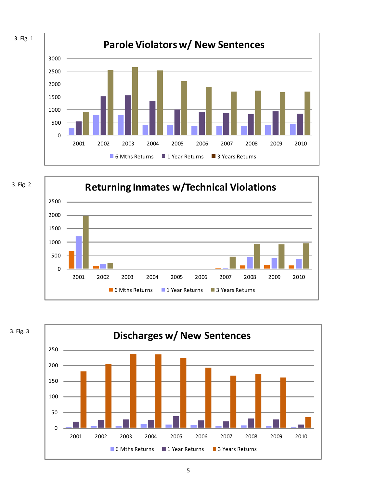



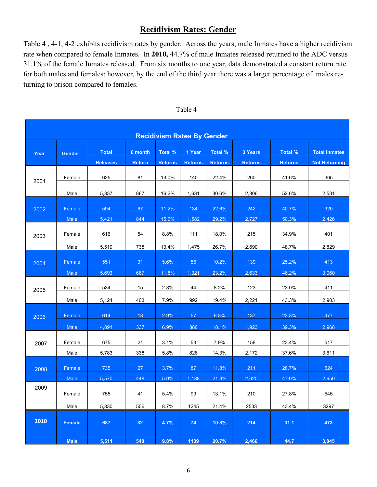# **Recidivism Rates: Gender**

Table 4 , 4-1, 4-2 exhibits recidivism rates by gender. Across the years, male Inmates have a higher recidivism rate when compared to female Inmates. In **2010,** 44.7% of male Inmates released returned to the ADC versus 31.1% of the female Inmates released. From six months to one year, data demonstrated a constant return rate for both males and females; however, by the end of the third year there was a larger percentage of males returning to prison compared to females.

| <b>Recidivism Rates By Gender</b> |                |                                 |                          |                           |                          |                           |                           |                           |                                              |  |
|-----------------------------------|----------------|---------------------------------|--------------------------|---------------------------|--------------------------|---------------------------|---------------------------|---------------------------|----------------------------------------------|--|
| Year                              | <b>Gender</b>  | <b>Total</b><br><b>Releases</b> | 6 month<br><b>Return</b> | Total %<br><b>Returns</b> | 1 Year<br><b>Returns</b> | Total %<br><b>Returns</b> | 3 Years<br><b>Returns</b> | Total %<br><b>Returns</b> | <b>Total Inmates</b><br><b>Not Returning</b> |  |
| 2001                              | Female         | 625                             | 81                       | 13.0%                     | 140                      | 22.4%                     | 260                       | 41.6%                     | 365                                          |  |
| 2002                              | Male<br>Female | 5,337<br>594                    | 867<br>67                | 16.2%<br>11.2%            | 1,631<br>134             | 30.6%<br>22.6%            | 2,806<br>242              | 52.6%<br>40.7%            | 2,531<br>320                                 |  |
|                                   | Male           | 5,421                           | 844                      | 15.6%                     | 1,582                    | 29.2%                     | 2,727                     | 50.3%                     | 2,426                                        |  |
| 2003                              | Female         | 616                             | 54                       | 8.8%                      | 111                      | 18.0%                     | 215                       | 34.9%                     | 401                                          |  |
| 2004                              | Male<br>Female | 5,519<br>551                    | 738<br>31                | 13.4%<br>5.6%             | 1,475<br>56              | 26.7%<br>10.2%            | 2,690<br>139              | 48.7%<br>25.2%            | 2,829<br>413                                 |  |
|                                   | Male           | 5,693                           | 667                      | 11.8%                     | 1,321                    | 23.2%                     | 2,633                     | 46.2%                     | 3,060                                        |  |
| 2005                              | Female<br>Male | 534<br>5,124                    | 15<br>403                | 2.8%<br>7.9%              | 44<br>992                | 8.2%<br>19.4%             | 123<br>2,221              | 23.0%<br>43.3%            | 411<br>2,903                                 |  |
| 2006                              | Female         | 614                             | 18                       | 2.9%                      | 57                       | 9.3%                      | 137                       | 22.3%                     | 477                                          |  |
|                                   | Male           | 4,891                           | 337                      | 6.9%                      | 886                      | 18.1%                     | 1,923                     | 39.3%                     | 2,968                                        |  |
| 2007                              | Female<br>Male | 675<br>5,783                    | 21<br>338                | 3.1%<br>5.8%              | 53<br>828                | 7.9%<br>14.3%             | 158<br>2,172              | 23.4%<br>37.6%            | 517<br>3,611                                 |  |
| 2008                              | Female         | 735                             | 27                       | 3.7%                      | 87                       | 11.8%                     | $211$                     | 28.7%                     | 524                                          |  |
| 2009                              | Male<br>Female | 5,570<br>755                    | 448<br>41                | 5.0%<br>5.4%              | 1,188<br>99              | 21.3%<br>13.1%            | 2,620<br>210              | 47.0%<br>27.8%            | 2.950<br>545                                 |  |
|                                   | Male           | 5,830                           | 506                      | 8.7%                      | 1245                     | 21.4%                     | 2533                      | 43.4%                     | 3297                                         |  |
| 2010                              | <b>Female</b>  | 687                             | 32                       | 4.7%                      | 74                       | 10.8%                     | 214                       | 31.1                      | 473                                          |  |
|                                   | <b>Male</b>    | 5,511                           | 540                      | 9.8%                      | 1139                     | 20.7%                     | 2,466                     | 44.7                      | 3,045                                        |  |

| Table 4 |  |
|---------|--|
|---------|--|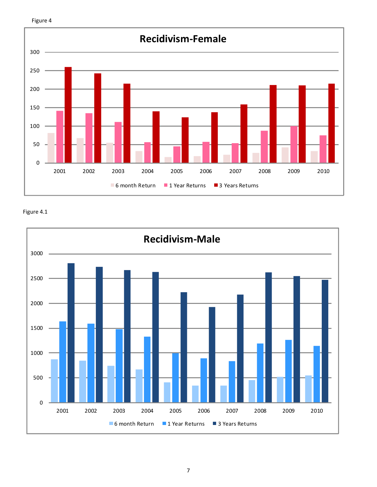



Figure 4.1

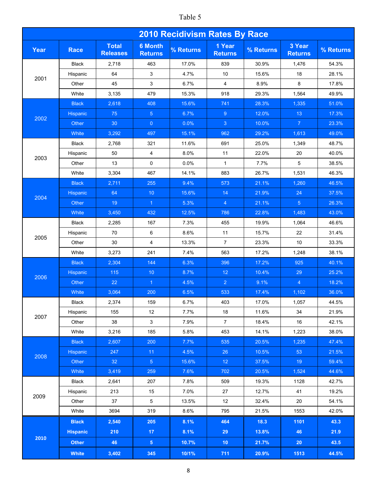# Table 5

| <b>2010 Recidivism Rates By Race</b> |                 |                                 |                                  |           |                          |           |                          |           |  |  |
|--------------------------------------|-----------------|---------------------------------|----------------------------------|-----------|--------------------------|-----------|--------------------------|-----------|--|--|
| Year                                 | <b>Race</b>     | <b>Total</b><br><b>Releases</b> | <b>6 Month</b><br><b>Returns</b> | % Returns | 1 Year<br><b>Returns</b> | % Returns | 3 Year<br><b>Returns</b> | % Returns |  |  |
|                                      | Black           | 2,718                           | 463                              | 17.0%     | 839                      | 30.9%     | 1,476                    | 54.3%     |  |  |
| 2001                                 | Hispanic        | 64                              | 3                                | 4.7%      | 10                       | 15.6%     | 18                       | 28.1%     |  |  |
|                                      | Other           | 45                              | 3                                | 6.7%      | $\overline{4}$           | 8.9%      | 8                        | 17.8%     |  |  |
|                                      | White           | 3,135                           | 479                              | 15.3%     | 918                      | 29.3%     | 1,564                    | 49.9%     |  |  |
|                                      | <b>Black</b>    | 2,618                           | 408                              | 15.6%     | 741                      | 28.3%     | 1,335                    | 51.0%     |  |  |
| 2002                                 | Hispanic        | 75                              | 5 <sub>5</sub>                   | 6.7%      | 9                        | 12.0%     | 13                       | 17.3%     |  |  |
|                                      | Other           | 30                              | $\overline{0}$                   | 0.0%      | $\mathbf{3}$             | 10.0%     | $\overline{7}$           | 23.3%     |  |  |
|                                      | White           | 3,292                           | 497                              | 15.1%     | 962                      | 29.2%     | 1,613                    | 49.0%     |  |  |
|                                      | <b>Black</b>    | 2,768                           | 321                              | 11.6%     | 691                      | 25.0%     | 1,349                    | 48.7%     |  |  |
|                                      | Hispanic        | 50                              | 4                                | 8.0%      | 11                       | 22.0%     | 20                       | 40.0%     |  |  |
| 2003                                 | Other           | 13                              | 0                                | 0.0%      | $\mathbf{1}$             | 7.7%      | 5                        | 38.5%     |  |  |
|                                      | White           | 3,304                           | 467                              | 14.1%     | 883                      | 26.7%     | 1,531                    | 46.3%     |  |  |
|                                      | <b>Black</b>    | 2,711                           | 255                              | 9.4%      | 573                      | 21.1%     | 1,260                    | 46.5%     |  |  |
|                                      | Hispanic        | 64                              | 10                               | 15.6%     | 14                       | 21.9%     | 24                       | 37.5%     |  |  |
| 2004                                 | Other           | 19                              | $\blacktriangleleft$             | 5.3%      | $\overline{4}$           | 21.1%     | 5 <sup>5</sup>           | 26.3%     |  |  |
|                                      | White           | 3,450                           | 432                              | 12.5%     | 786                      | 22.8%     | 1,483                    | 43.0%     |  |  |
|                                      | <b>Black</b>    | 2,285                           | 167                              | 7.3%      | 455                      | 19.9%     | 1,064                    | 46.6%     |  |  |
|                                      | Hispanic        | 70                              | 6                                | 8.6%      | 11                       | 15.7%     | 22                       | 31.4%     |  |  |
| 2005                                 | Other           | 30                              | 4                                | 13.3%     | $\overline{7}$           | 23.3%     | 10                       | 33.3%     |  |  |
|                                      | White           | 3,273                           | 241                              | 7.4%      | 563                      | 17.2%     | 1,248                    | 38.1%     |  |  |
|                                      | <b>Black</b>    | 2,304                           | 144                              | 6.3%      | 396                      | 17.2%     | 925                      | 40.1%     |  |  |
|                                      | <b>Hispanic</b> | 115                             | 10 <sup>°</sup>                  | 8.7%      | 12                       | 10.4%     | 29                       | 25.2%     |  |  |
| 2006                                 | Other           | 22                              | $\overline{1}$                   | 4.5%      | $\overline{2}$           | 9.1%      | $\overline{4}$           | 18.2%     |  |  |
|                                      | White           | 3,064                           | 200                              | 6.5%      | 533                      | 17.4%     | 1,102                    | 36.0%     |  |  |
|                                      | Black           | 2,374                           | 159                              | 6.7%      | 403                      | 17.0%     | 1,057                    | 44.5%     |  |  |
|                                      | Hispanic        | 155                             | 12 <sup>°</sup>                  | 7.7%      | 18                       | 11.6%     | 34                       | 21.9%     |  |  |
| 2007                                 | Other           | 38                              | $\mathbf{3}$                     | 7.9%      | $7\overline{ }$          | 18.4%     | 16                       | 42.1%     |  |  |
|                                      | White           | 3,216                           | 185                              | 5.8%      | 453                      | 14.1%     | 1,223                    | 38.0%     |  |  |
|                                      | <b>Black</b>    | 2,607                           | 200                              | 7.7%      | 535                      | 20.5%     | 1,235                    | 47.4%     |  |  |
|                                      | <b>Hispanic</b> | 247                             | 11                               | 4.5%      | 26                       | 10.5%     | 53                       | 21.5%     |  |  |
| 2008                                 | Other           | 32                              | 5 <sub>1</sub>                   | 15.6%     | 12 <sup>°</sup>          | 37.5%     | 19 <sup>°</sup>          | 59.4%     |  |  |
|                                      | White           | 3,419                           | 259                              | 7.6%      | 702                      | 20.5%     | 1,524                    | 44.6%     |  |  |
|                                      | <b>Black</b>    | 2,641                           | 207                              | 7.8%      | 509                      | 19.3%     | 1128                     | 42.7%     |  |  |
|                                      | Hispanic        | 213                             | 15                               | 7.0%      | 27                       | 12.7%     | 41                       | 19.2%     |  |  |
| 2009                                 | Other           | 37                              | 5                                | 13.5%     | 12                       | 32.4%     | 20                       | 54.1%     |  |  |
|                                      | White           | 3694                            | 319                              | 8.6%      | 795                      | 21.5%     | 1553                     | 42.0%     |  |  |
|                                      | <b>Black</b>    | 2,540                           | 205                              | 8.1%      | 464                      | 18.3      | 1101                     | 43.3      |  |  |
|                                      | <b>Hispanic</b> | 210                             | 17 <sub>2</sub>                  | 8.1%      | 29                       | 13.8%     | 46                       | 21.9      |  |  |
| 2010                                 | <b>Other</b>    | 46                              | 5 <sup>1</sup>                   | 10.7%     | 10 <sub>1</sub>          | 21.7%     | 20                       | 43.5      |  |  |
|                                      | <b>White</b>    | 3,402                           | 345                              | 10/1%     | 711                      | 20.9%     | 1513                     | 44.5%     |  |  |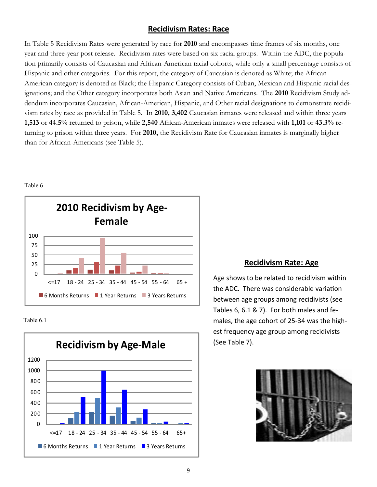## **Recidivism Rates: Race**

In Table 5 Recidivism Rates were generated by race for **2010** and encompasses time frames of six months, one year and three-year post release. Recidivism rates were based on six racial groups. Within the ADC, the population primarily consists of Caucasian and African-American racial cohorts, while only a small percentage consists of Hispanic and other categories. For this report, the category of Caucasian is denoted as White; the African-American category is denoted as Black; the Hispanic Category consists of Cuban, Mexican and Hispanic racial designations; and the Other category incorporates both Asian and Native Americans. The **2010** Recidivism Study addendum incorporates Caucasian, African-American, Hispanic, and Other racial designations to demonstrate recidivism rates by race as provided in Table 5. In **2010, 3,402** Caucasian inmates were released and within three years **1,513** or **44.5%** returned to prison, while **2,540** African-American inmates were released with **1,101** or **43.3%** returning to prison within three years. For **2010,** the Recidivism Rate for Caucasian inmates is marginally higher than for African-Americans (see Table 5).



Table 6

Table 6.1



## **Recidivism Rate: Age**

Age shows to be related to recidivism within the ADC. There was considerable variation between age groups among recidivists (see Tables 6, 6.1 & 7). For both males and females, the age cohort of 25-34 was the highest frequency age group among recidivists (See Table 7).

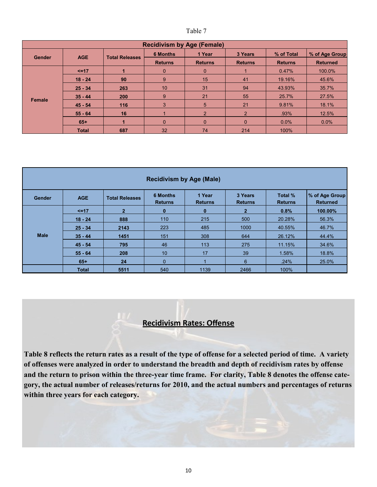| <b>Recidivism by Age (Female)</b> |              |                       |                 |                |                |                |                 |  |  |  |
|-----------------------------------|--------------|-----------------------|-----------------|----------------|----------------|----------------|-----------------|--|--|--|
| Gender                            | <b>AGE</b>   | <b>Total Releases</b> | <b>6 Months</b> | 1 Year         | 3 Years        | % of Total     | % of Age Group  |  |  |  |
|                                   |              |                       | <b>Returns</b>  | <b>Returns</b> | <b>Returns</b> | <b>Returns</b> | <b>Returned</b> |  |  |  |
|                                   | $5 = 17$     |                       | $\mathbf 0$     | $\Omega$       |                | 0.47%          | 100.0%          |  |  |  |
|                                   | $18 - 24$    | 90                    | 9               | 15             | 41             | 19.16%         | 45.6%           |  |  |  |
|                                   | $25 - 34$    | 263                   | 10              | 31             | 94             | 43.93%         | 35.7%           |  |  |  |
|                                   | $35 - 44$    | 200                   | 9               | 21             | 55             | 25.7%          | 27.5%           |  |  |  |
| Female                            | $45 - 54$    | 116                   | 3               | 5              | 21             | 9.81%          | 18.1%           |  |  |  |
|                                   | $55 - 64$    | 16                    |                 | $\overline{2}$ | $\mathcal{P}$  | .93%           | 12.5%           |  |  |  |
|                                   | $65+$        |                       | $\mathbf{0}$    | $\Omega$       | $\Omega$       | 0.0%           | $0.0\%$         |  |  |  |
|                                   | <b>Total</b> | 687                   | 32              | 74             | 214            | 100%           |                 |  |  |  |

| <b>Recidivism by Age (Male)</b> |              |                       |                                   |                          |                           |                           |                                   |  |  |  |
|---------------------------------|--------------|-----------------------|-----------------------------------|--------------------------|---------------------------|---------------------------|-----------------------------------|--|--|--|
| Gender                          | <b>AGE</b>   | <b>Total Releases</b> | <b>6 Months</b><br><b>Returns</b> | 1 Year<br><b>Returns</b> | 3 Years<br><b>Returns</b> | Total %<br><b>Returns</b> | % of Age Group<br><b>Returned</b> |  |  |  |
|                                 | $\leq$ =17   | $\overline{2}$        | $\bf{0}$                          | $\bf{0}$                 | $\mathcal{P}$             | 0.8%                      | 100.00%                           |  |  |  |
|                                 | $18 - 24$    | 888                   | 110                               | 215                      | 500                       | 20.28%                    | 56.3%                             |  |  |  |
|                                 | $25 - 34$    | 2143                  | 223                               | 485                      | 1000                      | 40.55%                    | 46.7%                             |  |  |  |
| <b>Male</b>                     | $35 - 44$    | 1451                  | 151                               | 308                      | 644                       | 26.12%                    | 44.4%                             |  |  |  |
|                                 | $45 - 54$    | 795                   | 46                                | 113                      | 275                       | 11.15%                    | 34.6%                             |  |  |  |
|                                 | $55 - 64$    | 208                   | 10                                | 17                       | 39                        | 1.58%                     | 18.8%                             |  |  |  |
|                                 | $65+$        | 24                    | $\Omega$                          |                          | 6                         | .24%                      | 25.0%                             |  |  |  |
|                                 | <b>Total</b> | 5511                  | 540                               | 1139                     | 2466                      | 100%                      |                                   |  |  |  |

# **Recidivism Rates: Offense**

**Table 8 reflects the return rates as a result of the type of offense for a selected period of time. A variety of offenses were analyzed in order to understand the breadth and depth of recidivism rates by offense and the return to prison within the three-year time frame. For clarity, Table 8 denotes the offense category, the actual number of releases/returns for 2010, and the actual numbers and percentages of returns within three years for each category.**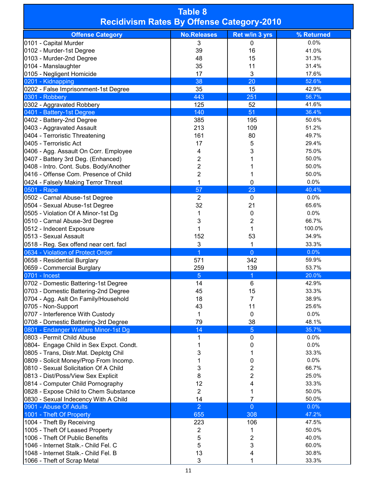| <b>Table 8</b><br><b>Recidivism Rates By Offense Category-2010</b>           |                    |                         |                |  |  |  |  |  |  |  |
|------------------------------------------------------------------------------|--------------------|-------------------------|----------------|--|--|--|--|--|--|--|
| <b>Offense Category</b>                                                      | <b>No.Releases</b> | Ret w/in 3 yrs          | % Returned     |  |  |  |  |  |  |  |
| 0101 - Capital Murder                                                        | 3                  | 0                       | 0.0%           |  |  |  |  |  |  |  |
| 0102 - Murder-1st Degree                                                     | 39                 | 16                      | 41.0%          |  |  |  |  |  |  |  |
| 0103 - Murder-2nd Degree                                                     | 48                 | 15                      | 31.3%          |  |  |  |  |  |  |  |
| 0104 - Manslaughter                                                          | 35                 | 11                      | 31.4%          |  |  |  |  |  |  |  |
| 0105 - Negligent Homicide                                                    | 17                 | 3                       | 17.6%          |  |  |  |  |  |  |  |
| 0201 - Kidnapping                                                            | 38                 | 20                      | 52.6%          |  |  |  |  |  |  |  |
| 0202 - False Imprisonment-1st Degree                                         | 35                 | 15                      | 42.9%          |  |  |  |  |  |  |  |
| 0301 - Robbery                                                               | 443                | 251                     | 56.7%          |  |  |  |  |  |  |  |
| 0302 - Aggravated Robbery                                                    | 125<br>140         | 52<br>51                | 41.6%<br>36.4% |  |  |  |  |  |  |  |
| 0401 - Battery-1st Degree<br>0402 - Battery-2nd Degree                       | 385                | 195                     | 50.6%          |  |  |  |  |  |  |  |
| 0403 - Aggravated Assault                                                    | 213                | 109                     | 51.2%          |  |  |  |  |  |  |  |
| 0404 - Terroristic Threatening                                               | 161                | 80                      | 49.7%          |  |  |  |  |  |  |  |
| 0405 - Terroristic Act                                                       | 17                 | 5                       | 29.4%          |  |  |  |  |  |  |  |
| 0406 - Agg. Assault On Corr. Employee                                        | 4                  | 3                       | 75.0%          |  |  |  |  |  |  |  |
| 0407 - Battery 3rd Deg. (Enhanced)                                           | 2                  | 1                       | 50.0%          |  |  |  |  |  |  |  |
| 0408 - Intro. Cont. Subs. Body/Another                                       | $\overline{2}$     | 1                       | 50.0%          |  |  |  |  |  |  |  |
| 0416 - Offense Com. Presence of Child                                        | 2                  | 1                       | 50.0%          |  |  |  |  |  |  |  |
| 0424 - Falsely Making Terror Threat                                          | 1                  | 0                       | 0.0%           |  |  |  |  |  |  |  |
| 0501 - Rape                                                                  | 57                 | 23                      | 40.4%          |  |  |  |  |  |  |  |
| 0502 - Carnal Abuse-1st Degree                                               | $\overline{2}$     | 0                       | 0.0%           |  |  |  |  |  |  |  |
| 0504 - Sexual Abuse-1st Degree                                               | 32                 | 21                      | 65.6%          |  |  |  |  |  |  |  |
| 0505 - Violation Of A Minor-1st Dg                                           | 1                  | 0                       | 0.0%           |  |  |  |  |  |  |  |
| 0510 - Carnal Abuse-3rd Degree                                               | 3                  | $\overline{2}$          | 66.7%          |  |  |  |  |  |  |  |
| 0512 - Indecent Exposure                                                     | 1                  | 1                       | 100.0%         |  |  |  |  |  |  |  |
| 0513 - Sexual Assault                                                        | 152                | 53                      | 34.9%          |  |  |  |  |  |  |  |
| 0518 - Reg. Sex offend near cert. facl                                       | 3                  | 1                       | 33.3%          |  |  |  |  |  |  |  |
| 0634 - Violation of Protect Order                                            | 1                  | $\overline{0}$          | 0.0%           |  |  |  |  |  |  |  |
| 0658 - Residential Burglary                                                  | 571                | 342                     | 59.9%          |  |  |  |  |  |  |  |
| 0659 - Commercial Burglary                                                   | 259                | 139                     | 53.7%          |  |  |  |  |  |  |  |
| 0701 - Incest                                                                | 5                  | $\overline{1}$          | 20.0%          |  |  |  |  |  |  |  |
| 0702 - Domestic Battering-1st Degree                                         | 14                 | 6                       | 42.9%          |  |  |  |  |  |  |  |
| 0703 - Domestic Battering-2nd Degree                                         | 45                 | 15                      | 33.3%          |  |  |  |  |  |  |  |
| 0704 - Agg. Aslt On Family/Household                                         | 18                 | 7                       | 38.9%          |  |  |  |  |  |  |  |
| 0705 - Non-Support                                                           | 43                 | 11                      | 25.6%          |  |  |  |  |  |  |  |
| 0707 - Interference With Custody                                             | 1<br>79            | 0                       | 0.0%<br>48.1%  |  |  |  |  |  |  |  |
| 0708 - Domestic Battering-3rd Degree<br>0801 - Endanger Welfare Minor-1st Dg | 14                 | 38<br>$\overline{5}$    | 35.7%          |  |  |  |  |  |  |  |
| 0803 - Permit Child Abuse                                                    | 1                  | 0                       | 0.0%           |  |  |  |  |  |  |  |
| 0804- Engage Child in Sex Expct. Condt.                                      | 1                  | 0                       | 0.0%           |  |  |  |  |  |  |  |
| 0805 - Trans, Distr.Mat. Deplctg Chil                                        | 3                  | 1                       | 33.3%          |  |  |  |  |  |  |  |
| 0809 - Solicit Money/Prop From Incomp.                                       | 1                  | 0                       | 0.0%           |  |  |  |  |  |  |  |
| 0810 - Sexual Solicitation Of A Child                                        | 3                  | $\overline{\mathbf{c}}$ | 66.7%          |  |  |  |  |  |  |  |
| 0813 - Dist/Poss/View Sex Explicit                                           | 8                  | $\overline{2}$          | 25.0%          |  |  |  |  |  |  |  |
| 0814 - Computer Child Pornography                                            | 12                 | 4                       | 33.3%          |  |  |  |  |  |  |  |
| 0828 - Expose Child to Chem Substance                                        | $\overline{2}$     | 1                       | 50.0%          |  |  |  |  |  |  |  |
| 0830 - Sexual Indecency With A Child                                         | 14                 | $\overline{7}$          | 50.0%          |  |  |  |  |  |  |  |
| 0901 - Abuse Of Adults                                                       | $\overline{2}$     | $\overline{0}$          | 0.0%           |  |  |  |  |  |  |  |
| 1001 - Theft Of Property                                                     | 655                | 308                     | 47.2%          |  |  |  |  |  |  |  |
| 1004 - Theft By Receiving                                                    | 223                | 106                     | 47.5%          |  |  |  |  |  |  |  |
| 1005 - Theft Of Leased Property                                              | 2                  | 1                       | 50.0%          |  |  |  |  |  |  |  |
| 1006 - Theft Of Public Benefits                                              | 5                  | 2                       | 40.0%          |  |  |  |  |  |  |  |
| 1046 - Internet Stalk.- Child Fel. C                                         | 5                  | 3                       | 60.0%          |  |  |  |  |  |  |  |
| 1048 - Internet Stalk.- Child Fel. B                                         | 13                 | 4                       | 30.8%          |  |  |  |  |  |  |  |
| 1066 - Theft of Scrap Metal                                                  | 3                  | 1                       | 33.3%          |  |  |  |  |  |  |  |